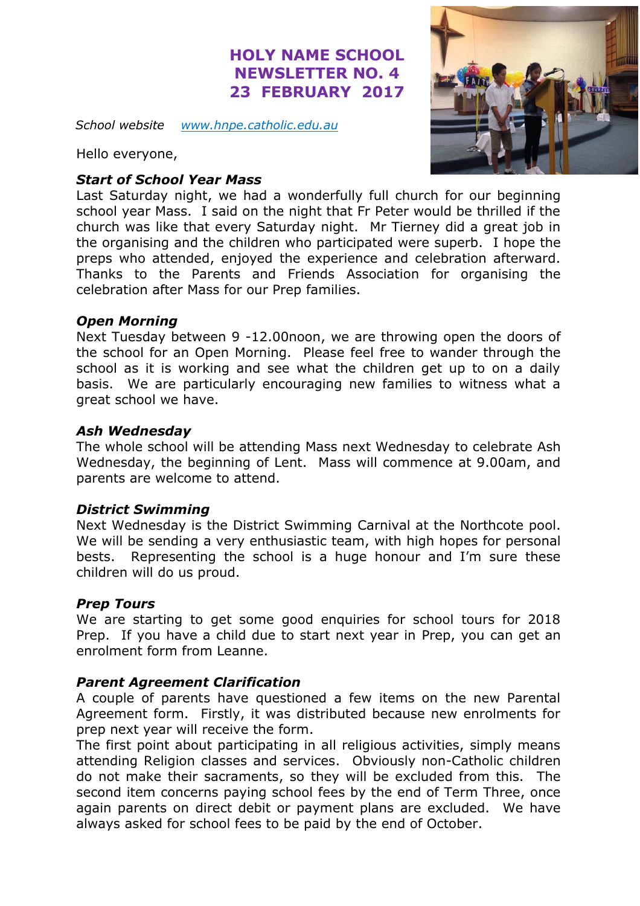# **HOLY NAME SCHOOL NEWSLETTER NO. 4 23 FEBRUARY 2017**

*School website [www.hnpe.catholic.edu.au](http://www.hnpe.catholic.edu.au/)*

Hello everyone,

# *Start of School Year Mass*

Last Saturday night, we had a wonderfully full church for our beginning school year Mass. I said on the night that Fr Peter would be thrilled if the church was like that every Saturday night. Mr Tierney did a great job in the organising and the children who participated were superb. I hope the preps who attended, enjoyed the experience and celebration afterward. Thanks to the Parents and Friends Association for organising the celebration after Mass for our Prep families.

#### *Open Morning*

Next Tuesday between 9 -12.00noon, we are throwing open the doors of the school for an Open Morning. Please feel free to wander through the school as it is working and see what the children get up to on a daily basis. We are particularly encouraging new families to witness what a great school we have.

# *Ash Wednesday*

The whole school will be attending Mass next Wednesday to celebrate Ash Wednesday, the beginning of Lent. Mass will commence at 9.00am, and parents are welcome to attend.

#### *District Swimming*

Next Wednesday is the District Swimming Carnival at the Northcote pool. We will be sending a very enthusiastic team, with high hopes for personal bests. Representing the school is a huge honour and I'm sure these children will do us proud.

#### *Prep Tours*

We are starting to get some good enquiries for school tours for 2018 Prep. If you have a child due to start next year in Prep, you can get an enrolment form from Leanne.

# *Parent Agreement Clarification*

A couple of parents have questioned a few items on the new Parental Agreement form. Firstly, it was distributed because new enrolments for prep next year will receive the form.

The first point about participating in all religious activities, simply means attending Religion classes and services. Obviously non-Catholic children do not make their sacraments, so they will be excluded from this. The second item concerns paying school fees by the end of Term Three, once again parents on direct debit or payment plans are excluded. We have always asked for school fees to be paid by the end of October.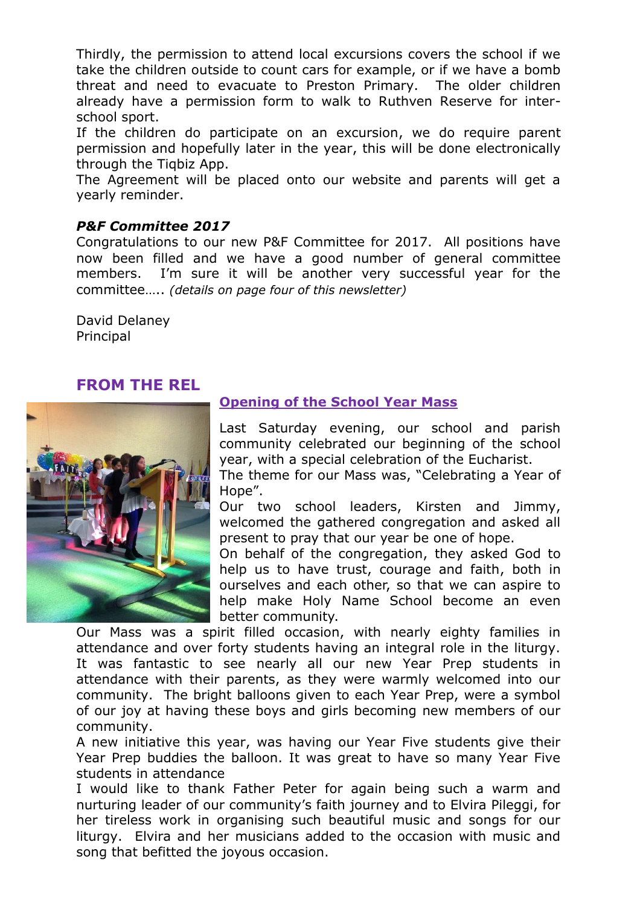Thirdly, the permission to attend local excursions covers the school if we take the children outside to count cars for example, or if we have a bomb threat and need to evacuate to Preston Primary. The older children already have a permission form to walk to Ruthven Reserve for interschool sport.

If the children do participate on an excursion, we do require parent permission and hopefully later in the year, this will be done electronically through the Tiqbiz App.

The Agreement will be placed onto our website and parents will get a yearly reminder.

#### *P&F Committee 2017*

Congratulations to our new P&F Committee for 2017. All positions have now been filled and we have a good number of general committee members. I'm sure it will be another very successful year for the committee….. *(details on page four of this newsletter)*

David Delaney Principal

# **FROM THE REL**



# **Opening of the School Year Mass**

Last Saturday evening, our school and parish community celebrated our beginning of the school year, with a special celebration of the Eucharist.

The theme for our Mass was, "Celebrating a Year of Hope".

Our two school leaders, Kirsten and Jimmy, welcomed the gathered congregation and asked all present to pray that our year be one of hope.

On behalf of the congregation, they asked God to help us to have trust, courage and faith, both in ourselves and each other, so that we can aspire to help make Holy Name School become an even better community.

Our Mass was a spirit filled occasion, with nearly eighty families in attendance and over forty students having an integral role in the liturgy. It was fantastic to see nearly all our new Year Prep students in attendance with their parents, as they were warmly welcomed into our community. The bright balloons given to each Year Prep, were a symbol of our joy at having these boys and girls becoming new members of our community.

A new initiative this year, was having our Year Five students give their Year Prep buddies the balloon. It was great to have so many Year Five students in attendance

I would like to thank Father Peter for again being such a warm and nurturing leader of our community's faith journey and to Elvira Pileggi, for her tireless work in organising such beautiful music and songs for our liturgy. Elvira and her musicians added to the occasion with music and song that befitted the joyous occasion.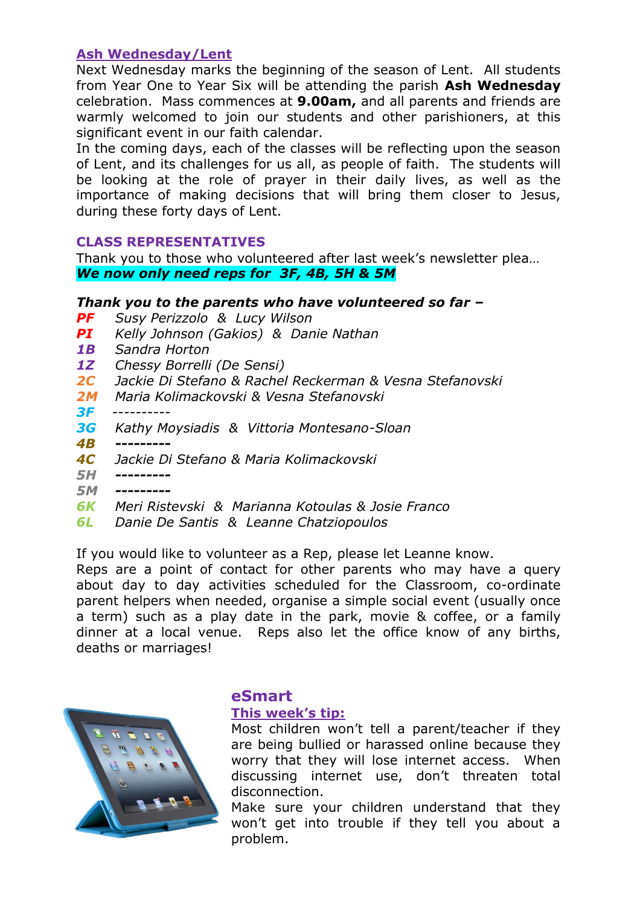# **Ash Wednesday/Lent**

Next Wednesday marks the beginning of the season of Lent. All students from Year One to Year Six will be attending the parish **Ash Wednesday** celebration. Mass commences at **9.00am,** and all parents and friends are warmly welcomed to join our students and other parishioners, at this significant event in our faith calendar.

In the coming days, each of the classes will be reflecting upon the season of Lent, and its challenges for us all, as people of faith. The students will be looking at the role of prayer in their daily lives, as well as the importance of making decisions that will bring them closer to Jesus, during these forty days of Lent.

# **CLASS REPRESENTATIVES**

Thank you to those who volunteered after last week's newsletter plea… *We now only need reps for 3F, 4B, 5H & 5M*

# *Thank you to the parents who have volunteered so far –*

- *PF Susy Perizzolo & Lucy Wilson*
- *PI Kelly Johnson (Gakios) & Danie Nathan*
- *1B Sandra Horton*
- *1Z Chessy Borrelli (De Sensi)*
- *2C Jackie Di Stefano & Rachel Reckerman & Vesna Stefanovski*
- *2M Maria Kolimackovski & Vesna Stefanovski*
- *3F ----------*
- *3G Kathy Moysiadis & Vittoria Montesano-Sloan*
- *4B ---------*
- *4C Jackie Di Stefano & Maria Kolimackovski*
- *5H ---------*
- *5M ---------*
- *6K Meri Ristevski & Marianna Kotoulas & Josie Franco*
- *6L Danie De Santis & Leanne Chatziopoulos*

If you would like to volunteer as a Rep, please let Leanne know.

Reps are a point of contact for other parents who may have a query about day to day activities scheduled for the Classroom, co-ordinate parent helpers when needed, organise a simple social event (usually once a term) such as a play date in the park, movie & coffee, or a family dinner at a local venue. Reps also let the office know of any births, deaths or marriages!



# **eSmart**

#### **This week's tip:**

Most children won't tell a parent/teacher if they are being bullied or harassed online because they worry that they will lose internet access. When discussing internet use, don't threaten total disconnection.

Make sure your children understand that they won't get into trouble if they tell you about a problem.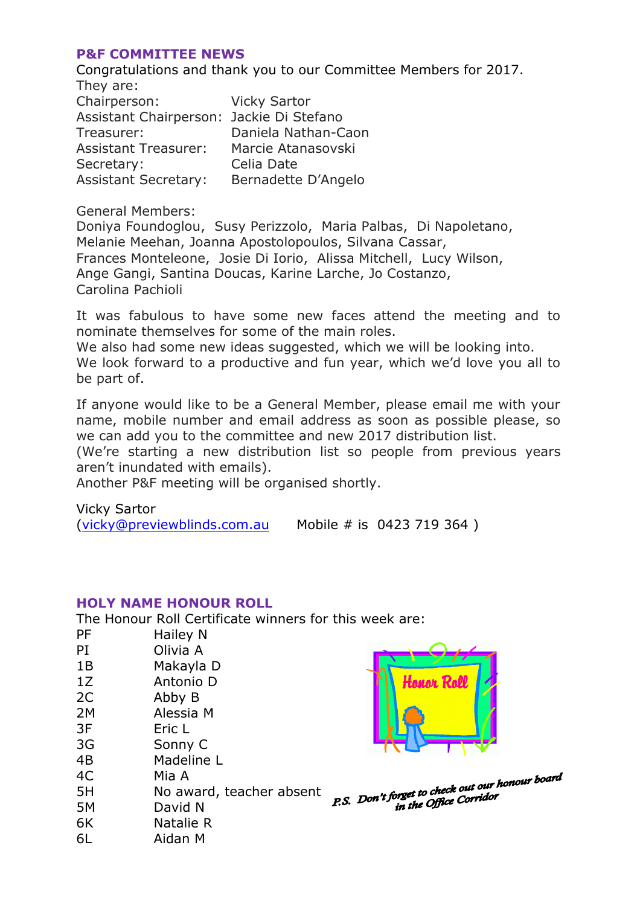#### **P&F COMMITTEE NEWS**

Congratulations and thank you to our Committee Members for 2017. They are: Chairperson: Vicky Sartor Assistant Chairperson: Jackie Di Stefano Treasurer: Daniela Nathan-Caon Assistant Treasurer: Marcie Atanasovski Secretary: Celia Date Assistant Secretary: Bernadette D'Angelo

General Members:

Doniya Foundoglou, Susy Perizzolo, Maria Palbas, Di Napoletano, Melanie Meehan, Joanna Apostolopoulos, Silvana Cassar, Frances Monteleone, Josie Di Iorio, Alissa Mitchell, Lucy Wilson, Ange Gangi, Santina Doucas, Karine Larche, Jo Costanzo, Carolina Pachioli

It was fabulous to have some new faces attend the meeting and to nominate themselves for some of the main roles.

We also had some new ideas suggested, which we will be looking into. We look forward to a productive and fun year, which we'd love you all to be part of.

If anyone would like to be a General Member, please email me with your name, mobile number and email address as soon as possible please, so we can add you to the committee and new 2017 distribution list.

(We're starting a new distribution list so people from previous years aren't inundated with emails).

Another P&F meeting will be organised shortly.

Vicky Sartor [\(vicky@previewblinds.com.au](mailto:vicky@previewblinds.com.au) Mobile # is 0423 719 364 )

#### **HOLY NAME HONOUR ROLL**

The Honour Roll Certificate winners for this week are:

| <b>PF</b> | Hailey N                 |                                                                                                   |
|-----------|--------------------------|---------------------------------------------------------------------------------------------------|
| PI        | Olivia A                 |                                                                                                   |
| 1B        | Makayla D                |                                                                                                   |
| 1Z        | Antonio D                |                                                                                                   |
| 2C        | Abby B                   |                                                                                                   |
| 2M        | Alessia M                |                                                                                                   |
| 3F        | Eric L                   |                                                                                                   |
| 3G        | Sonny C                  |                                                                                                   |
| 4B        | Madeline L               |                                                                                                   |
| 4C        | Mia A                    |                                                                                                   |
| 5H        | No award, teacher absent | P.S. Don't forget to check out our honour board.<br>I.S. Don't forget to check our donnour board. |
| 5M        | David N                  |                                                                                                   |
| 6K        | Natalie R                |                                                                                                   |
| 6L        | Aidan M                  |                                                                                                   |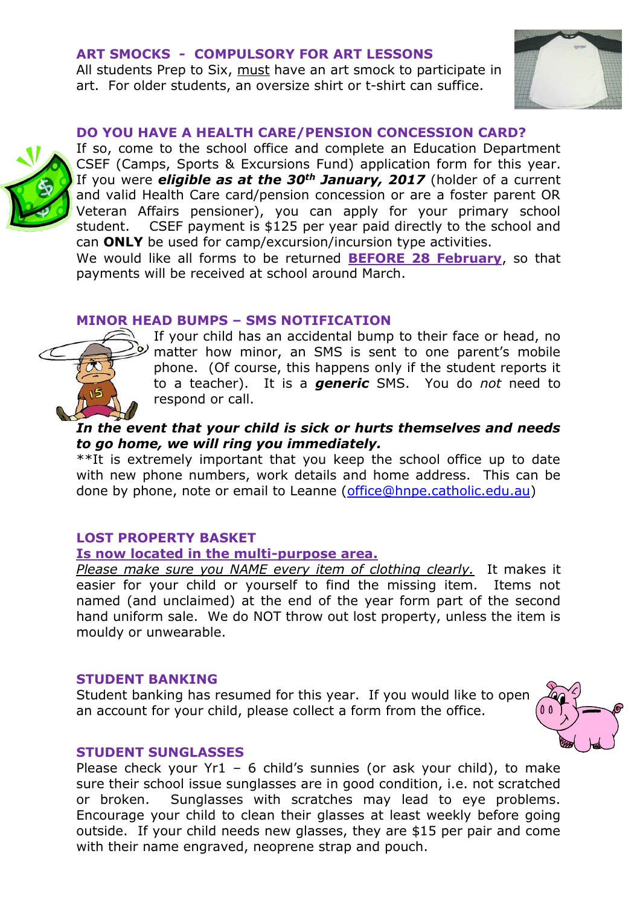#### **ART SMOCKS - COMPULSORY FOR ART LESSONS**

All students Prep to Six, must have an art smock to participate in art. For older students, an oversize shirt or t-shirt can suffice.



#### **DO YOU HAVE A HEALTH CARE/PENSION CONCESSION CARD?**



If so, come to the school office and complete an Education Department CSEF (Camps, Sports & Excursions Fund) application form for this year. If you were *eligible as at the 30th January, 2017* (holder of a current and valid Health Care card/pension concession or are a foster parent OR Veteran Affairs pensioner), you can apply for your primary school student. CSEF payment is \$125 per year paid directly to the school and can **ONLY** be used for camp/excursion/incursion type activities.

We would like all forms to be returned **BEFORE 28 February**, so that payments will be received at school around March.

#### **MINOR HEAD BUMPS – SMS NOTIFICATION**



If your child has an accidental bump to their face or head, no matter how minor, an SMS is sent to one parent's mobile phone. (Of course, this happens only if the student reports it to a teacher). It is a *generic* SMS. You do *not* need to respond or call.

# *In the event that your child is sick or hurts themselves and needs to go home, we will ring you immediately.*

\*\*It is extremely important that you keep the school office up to date with new phone numbers, work details and home address. This can be done by phone, note or email to Leanne [\(office@hnpe.catholic.edu.au\)](mailto:office@hnpe.catholic.edu.au)

# **LOST PROPERTY BASKET**

#### **Is now located in the multi-purpose area.**

*Please make sure you NAME every item of clothing clearly.* It makes it easier for your child or yourself to find the missing item. Items not named (and unclaimed) at the end of the year form part of the second hand uniform sale. We do NOT throw out lost property, unless the item is mouldy or unwearable.

#### **STUDENT BANKING**

Student banking has resumed for this year. If you would like to open an account for your child, please collect a form from the office.



#### **STUDENT SUNGLASSES**

Please check your  $Yr1 - 6$  child's sunnies (or ask your child), to make sure their school issue sunglasses are in good condition, i.e. not scratched or broken. Sunglasses with scratches may lead to eye problems. Encourage your child to clean their glasses at least weekly before going outside. If your child needs new glasses, they are \$15 per pair and come with their name engraved, neoprene strap and pouch.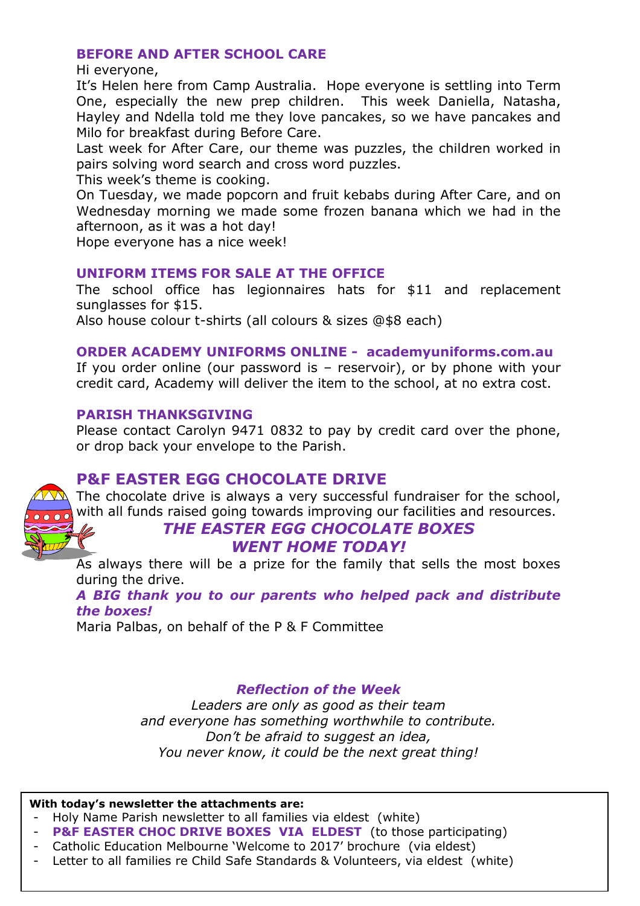# **BEFORE AND AFTER SCHOOL CARE**

Hi everyone,

It's Helen here from Camp Australia. Hope everyone is settling into Term One, especially the new prep children. This week Daniella, Natasha, Hayley and Ndella told me they love pancakes, so we have pancakes and Milo for breakfast during Before Care.

Last week for After Care, our theme was puzzles, the children worked in pairs solving word search and cross word puzzles.

This week's theme is cooking.

On Tuesday, we made popcorn and fruit kebabs during After Care, and on Wednesday morning we made some frozen banana which we had in the afternoon, as it was a hot day!

Hope everyone has a nice week!

# **UNIFORM ITEMS FOR SALE AT THE OFFICE**

The school office has legionnaires hats for \$11 and replacement sunglasses for \$15.

Also house colour t-shirts (all colours & sizes @\$8 each)

# **ORDER ACADEMY UNIFORMS ONLINE - academyuniforms.com.au**

If you order online (our password is – reservoir), or by phone with your credit card, Academy will deliver the item to the school, at no extra cost.

# **PARISH THANKSGIVING**

Please contact Carolyn 9471 0832 to pay by credit card over the phone, or drop back your envelope to the Parish.

# **P&F EASTER EGG CHOCOLATE DRIVE**

The chocolate drive is always a very successful fundraiser for the school, with all funds raised going towards improving our facilities and resources.

# *THE EASTER EGG CHOCOLATE BOXES WENT HOME TODAY!*

As always there will be a prize for the family that sells the most boxes during the drive.

*A BIG thank you to our parents who helped pack and distribute the boxes!*

Maria Palbas, on behalf of the P & F Committee

# *Reflection of the Week*

*Leaders are only as good as their team and everyone has something worthwhile to contribute. Don't be afraid to suggest an idea, You never know, it could be the next great thing!*

#### **With today's newsletter the attachments are:**

- Holy Name Parish newsletter to all families via eldest (white)
- **P&F EASTER CHOC DRIVE BOXES VIA ELDEST** (to those participating)
- Catholic Education Melbourne 'Welcome to 2017' brochure (via eldest)
- Letter to all families re Child Safe Standards & Volunteers, via eldest (white)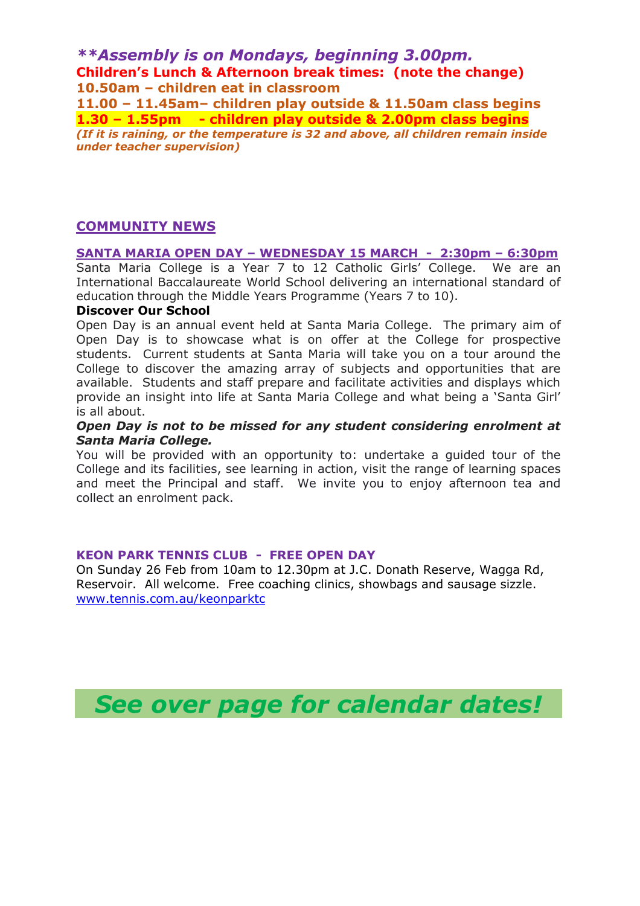*\*\*Assembly is on Mondays, beginning 3.00pm.* **Children's Lunch & Afternoon break times: (note the change) 10.50am – children eat in classroom**

**11.00 – 11.45am– children play outside & 11.50am class begins 1.30 – 1.55pm - children play outside & 2.00pm class begins** *(If it is raining, or the temperature is 32 and above, all children remain inside under teacher supervision)*

# **COMMUNITY NEWS**

**SANTA MARIA OPEN DAY – WEDNESDAY 15 MARCH - 2:30pm – 6:30pm** Santa Maria College is a Year 7 to 12 Catholic Girls' College. We are an International Baccalaureate World School delivering an international standard of education through the Middle Years Programme (Years 7 to 10).

#### **Discover Our School**

Open Day is an annual event held at Santa Maria College. The primary aim of Open Day is to showcase what is on offer at the College for prospective students. Current students at Santa Maria will take you on a tour around the College to discover the amazing array of subjects and opportunities that are available. Students and staff prepare and facilitate activities and displays which provide an insight into life at Santa Maria College and what being a 'Santa Girl' is all about.

#### *Open Day is not to be missed for any student considering enrolment at Santa Maria College.*

You will be provided with an opportunity to: undertake a guided tour of the College and its facilities, see learning in action, visit the range of learning spaces and meet the Principal and staff. We invite you to enjoy afternoon tea and collect an enrolment pack.

#### **KEON PARK TENNIS CLUB - FREE OPEN DAY**

On Sunday 26 Feb from 10am to 12.30pm at J.C. Donath Reserve, Wagga Rd, Reservoir. All welcome. Free coaching clinics, showbags and sausage sizzle. [www.tennis.com.au/keonparktc](http://www.tennis.com.au/keonparktc) 

*See over page for calendar dates!*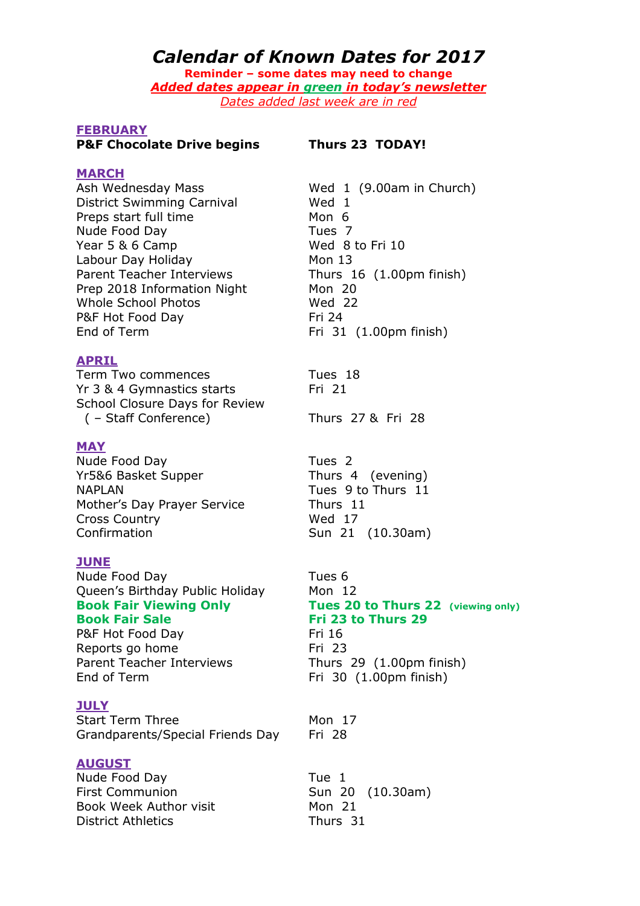# *Calendar of Known Dates for 2017*

**Reminder – some dates may need to change** *Added dates appear in green in today's newsletter Dates added last week are in red*

#### **FEBRUARY**

#### **P&F Chocolate Drive begins Thurs 23 TODAY!**

**MARCH**

District Swimming Carnival Wed 1 Preps start full time Mon 6 Nude Food Day<br>
Year 5 & 6 Camp<br>
Year 5 & 6 Camp<br>
Tues 7 Year  $5 & 6$  Camp Labour Day Holiday Mon 13 Parent Teacher Interviews Thurs 16 (1.00pm finish) Prep 2018 Information Night Mon 20 Whole School Photos Wed 22 P&F Hot Food Day Fri 24 End of Term Fri 31 (1.00pm finish)

#### **APRIL**

Term Two commences Tues 18 Yr 3 & 4 Gymnastics starts Fri 21 School Closure Days for Review ( – Staff Conference) Thurs 27 & Fri 28

#### **MAY**

Nude Food Day<br>
Yr5&6 Basket Supper
Yr5&6 Basket Supper
Supper
Thurs 4 (evening) Yr5&6 Basket Supper NAPLAN Tues 9 to Thurs 11 Mother's Day Prayer Service Thurs 11 Cross Country Wed 17 Confirmation Sun 21 (10.30am)

#### **JUNE**

Nude Food Day **Tues 6** Queen's Birthday Public Holiday Mon 12 **Book Fair Sale Fri 23 to Thurs 29**

P&F Hot Food Day Fri 16 Reports go home Fri 23 End of Term Fri 30 (1.00pm finish)

#### **JULY**

Start Term Three Mon 17 Grandparents/Special Friends Day Fri 28

#### **AUGUST**

Nude Food Day **Tue 1** First Communion Sun 20 (10.30am) Book Week Author visit Mon 21 District Athletics Thurs 31

Ash Wednesday Mass Wed 1 (9.00am in Church)

**Book Fair Viewing Only Tues 20 to Thurs 22 (viewing only)** Parent Teacher Interviews Thurs 29 (1.00pm finish)